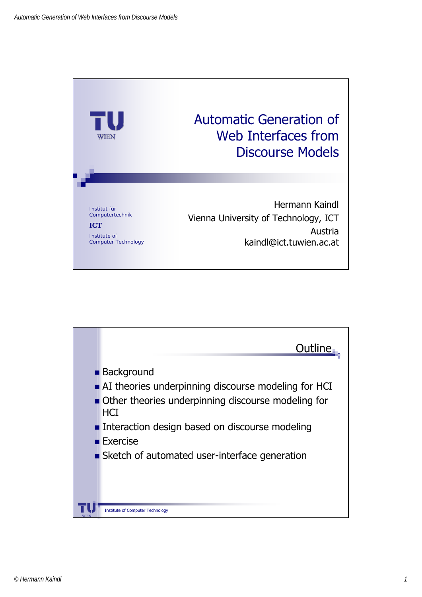

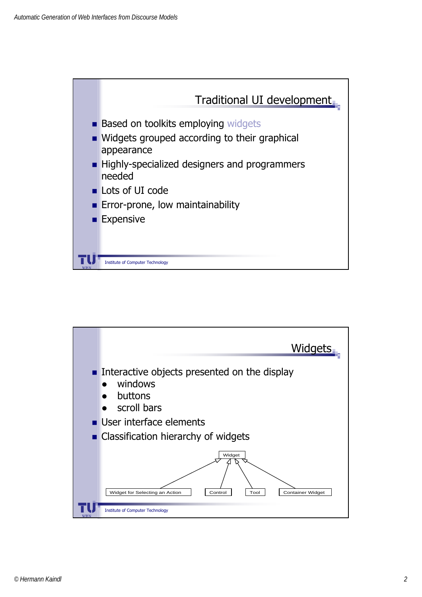

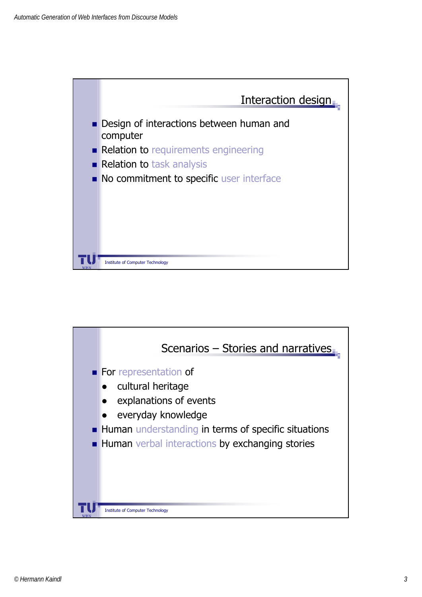

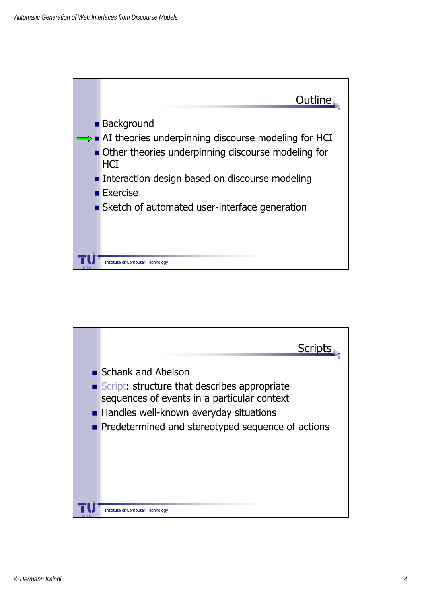

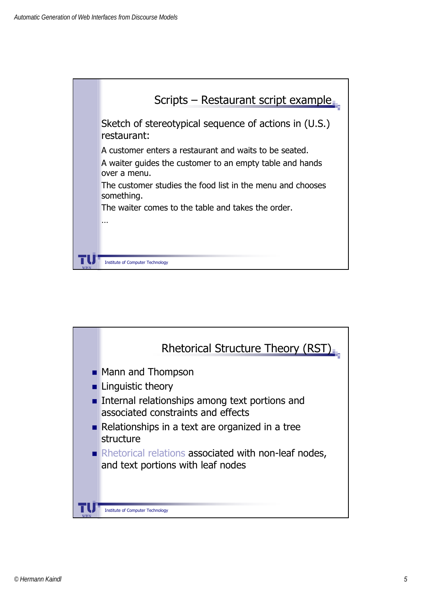

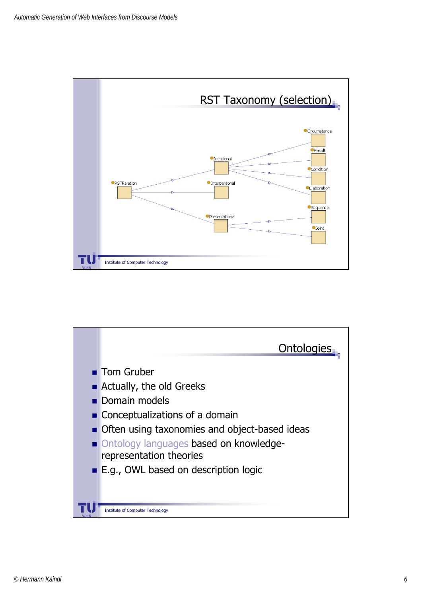

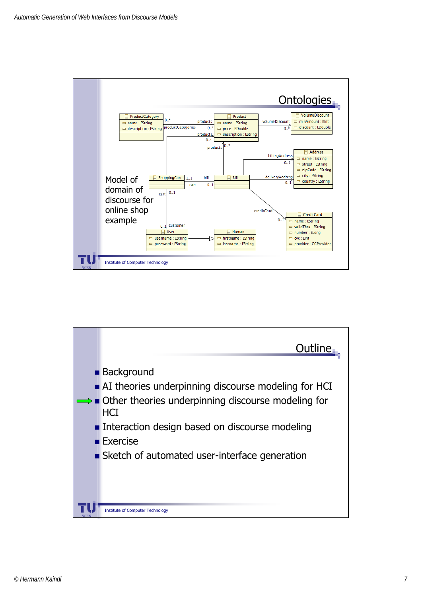

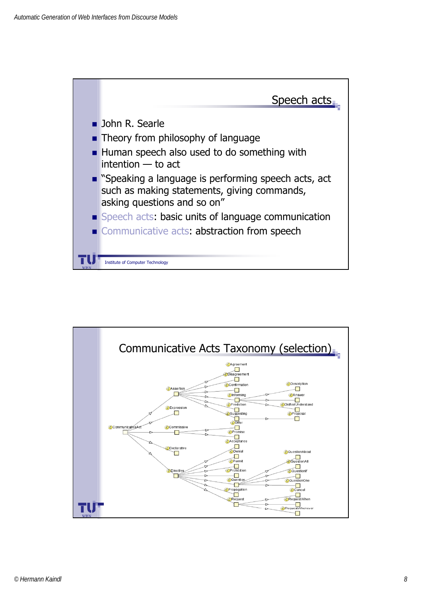

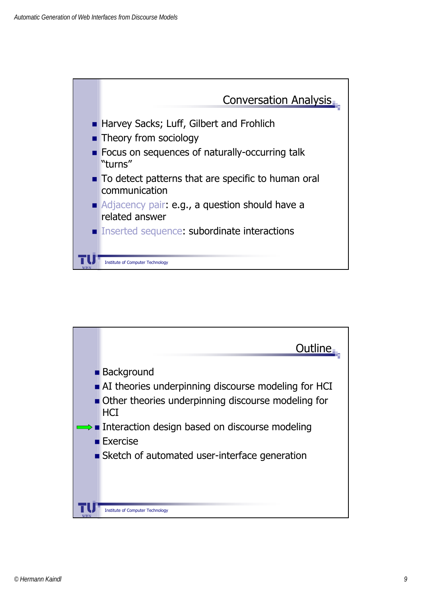

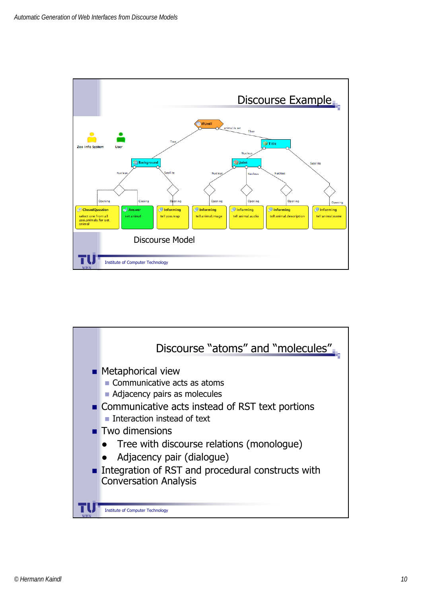

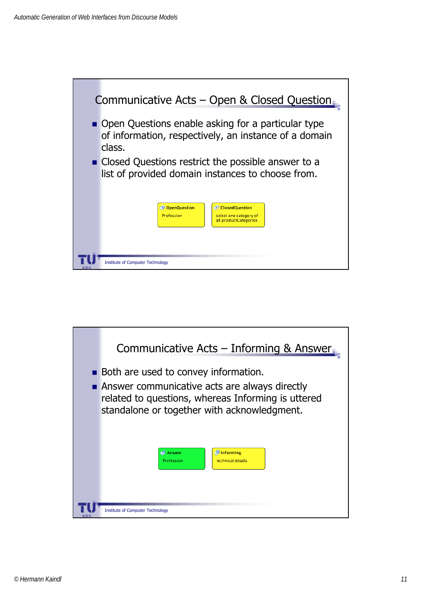

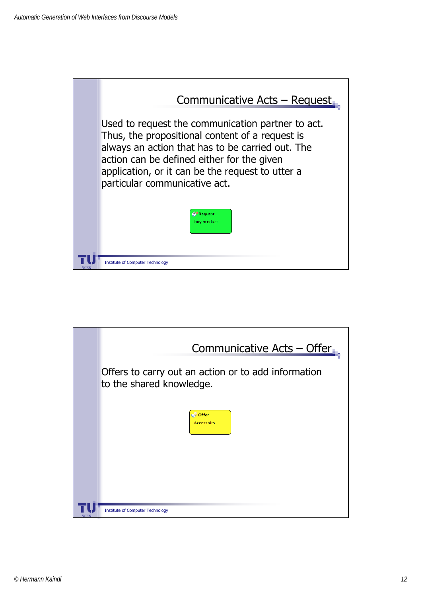

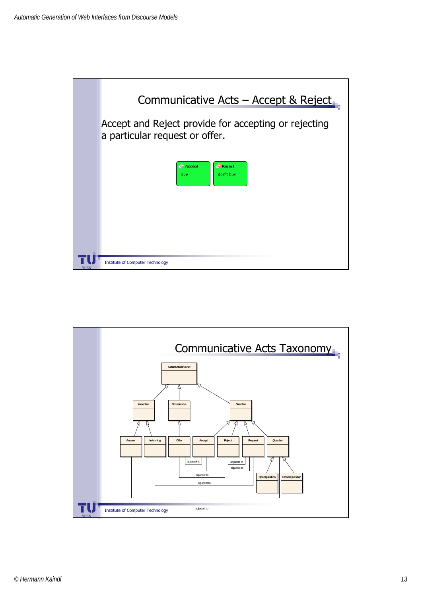

![](_page_12_Figure_2.jpeg)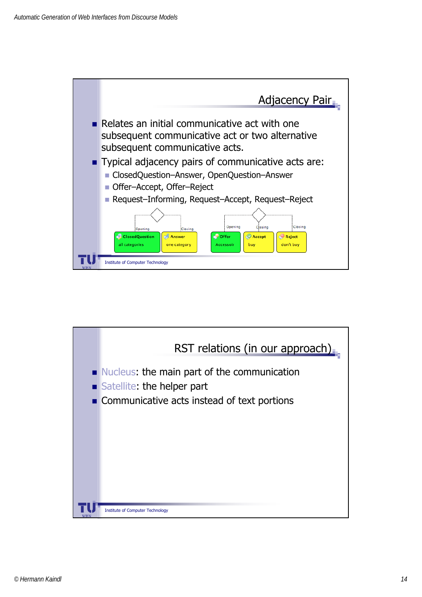![](_page_13_Figure_1.jpeg)

![](_page_13_Figure_2.jpeg)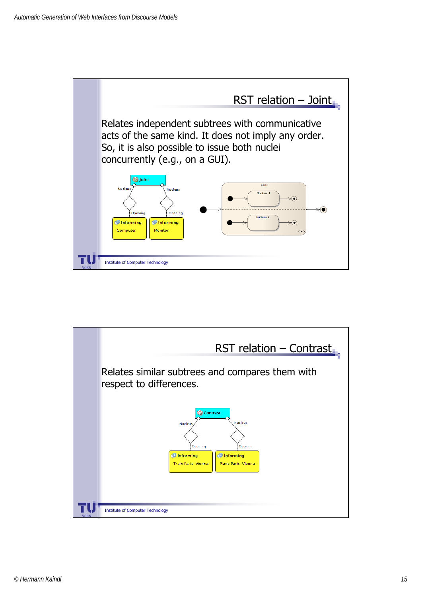![](_page_14_Figure_1.jpeg)

![](_page_14_Figure_2.jpeg)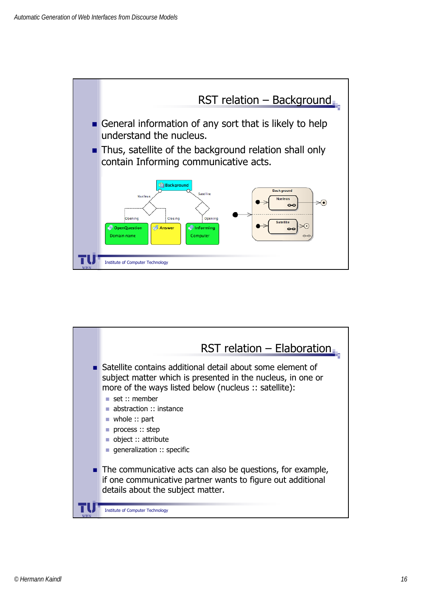![](_page_15_Figure_1.jpeg)

![](_page_15_Picture_2.jpeg)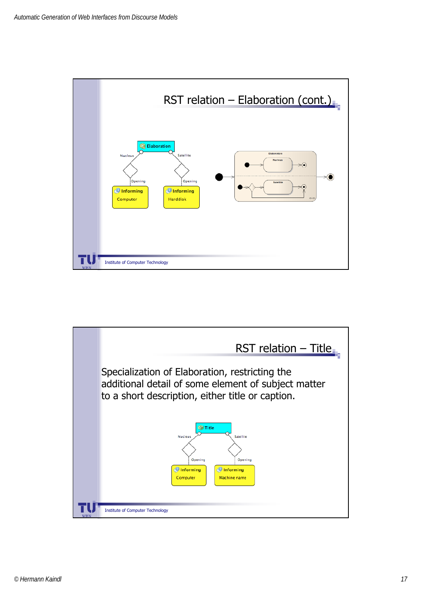![](_page_16_Figure_1.jpeg)

![](_page_16_Figure_2.jpeg)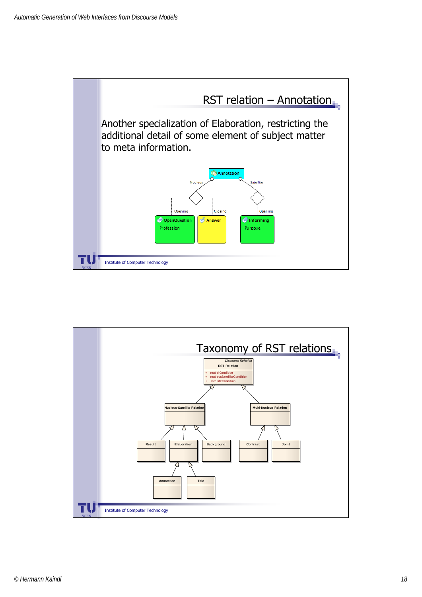![](_page_17_Figure_1.jpeg)

![](_page_17_Figure_2.jpeg)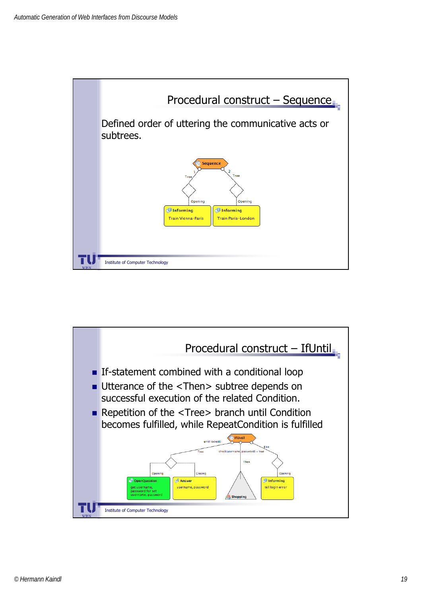![](_page_18_Figure_1.jpeg)

![](_page_18_Figure_2.jpeg)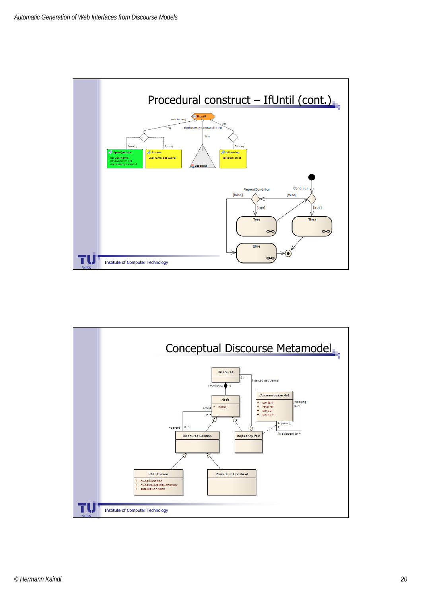![](_page_19_Figure_1.jpeg)

![](_page_19_Figure_2.jpeg)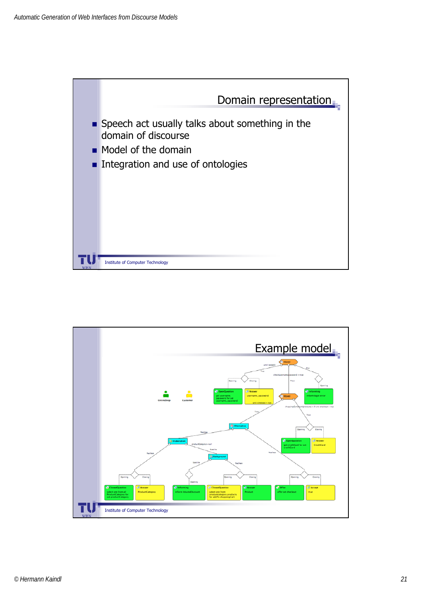![](_page_20_Figure_1.jpeg)

![](_page_20_Figure_2.jpeg)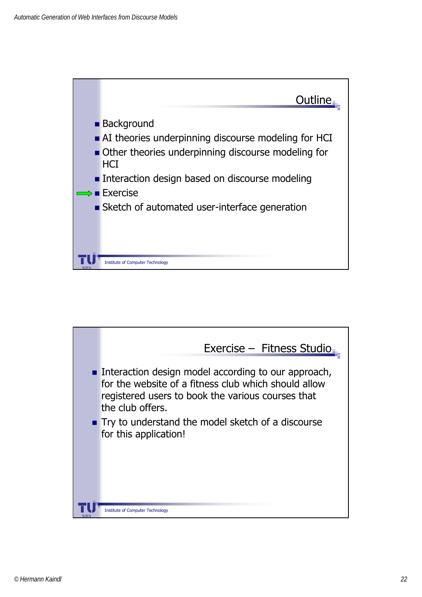![](_page_21_Figure_1.jpeg)

![](_page_21_Picture_2.jpeg)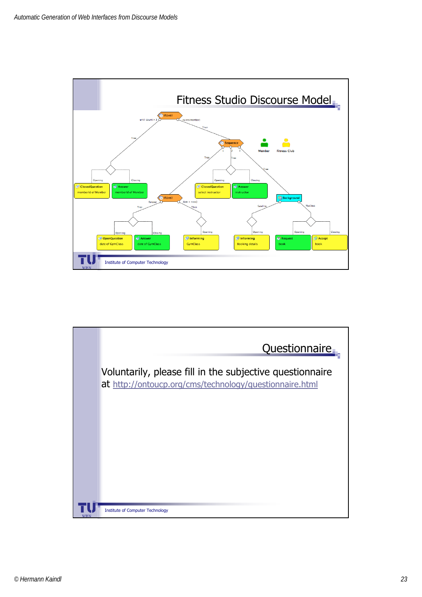![](_page_22_Figure_1.jpeg)

![](_page_22_Picture_2.jpeg)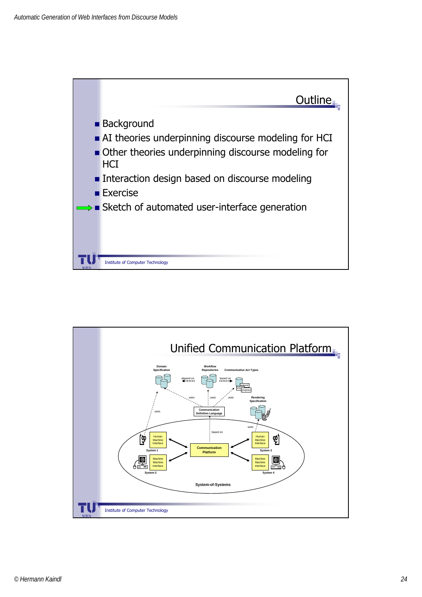![](_page_23_Figure_1.jpeg)

![](_page_23_Figure_2.jpeg)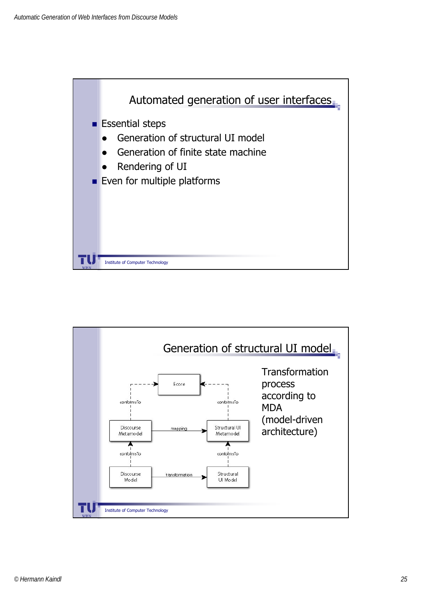![](_page_24_Figure_1.jpeg)

![](_page_24_Figure_2.jpeg)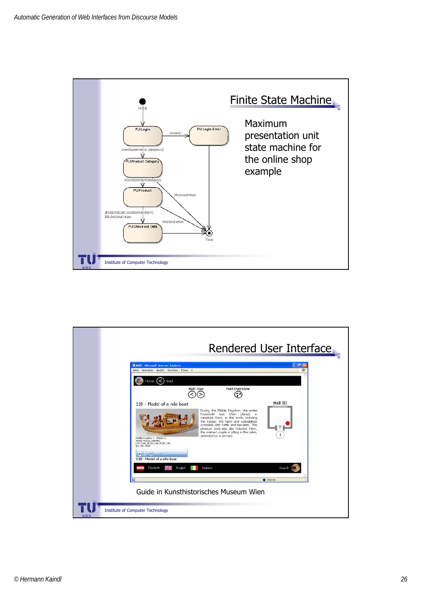![](_page_25_Figure_1.jpeg)

![](_page_25_Picture_2.jpeg)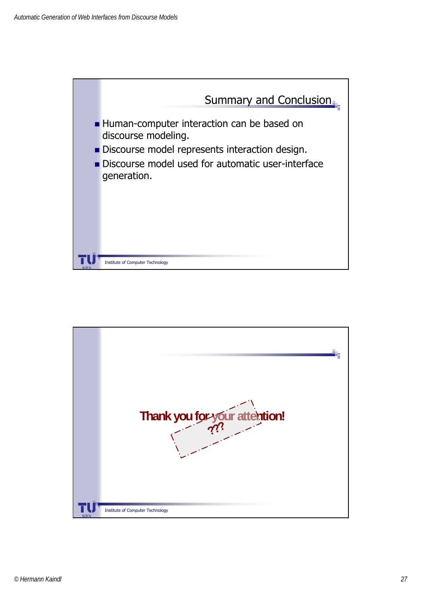![](_page_26_Figure_1.jpeg)

![](_page_26_Picture_2.jpeg)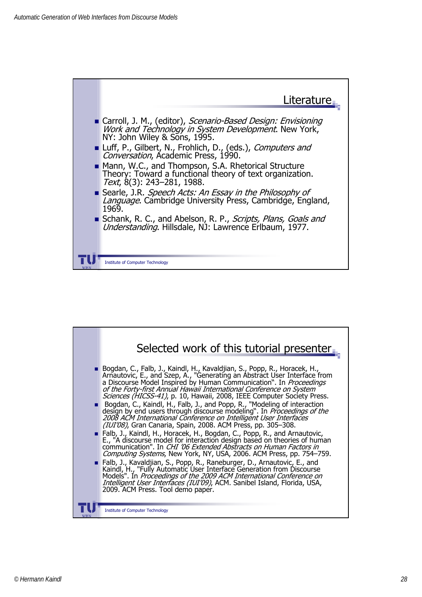![](_page_27_Figure_1.jpeg)

![](_page_27_Picture_2.jpeg)